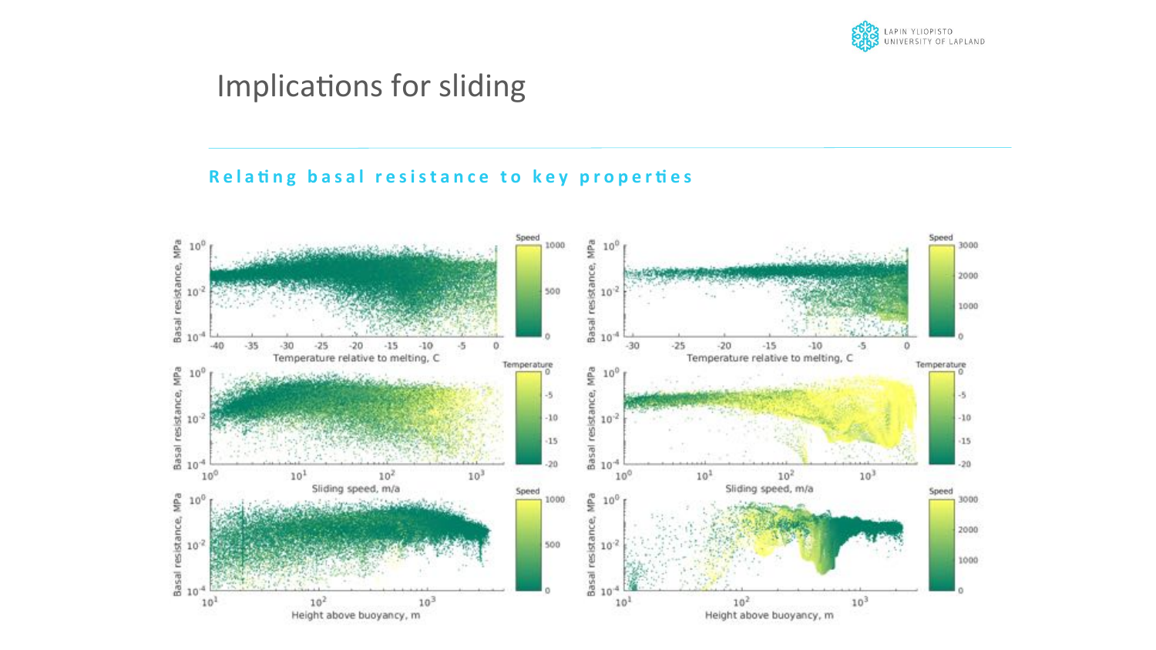

## Implications for sliding

#### Relating basal resistance to key properties

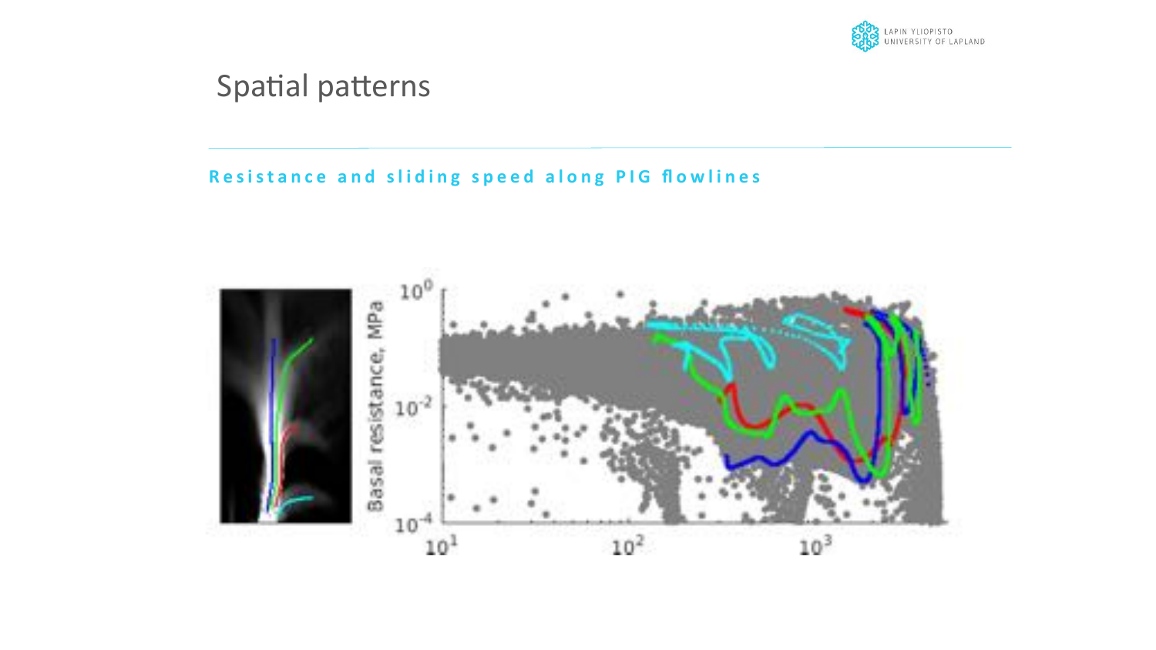

## Spatial patterns

#### Resistance and sliding speed along PIG flowlines

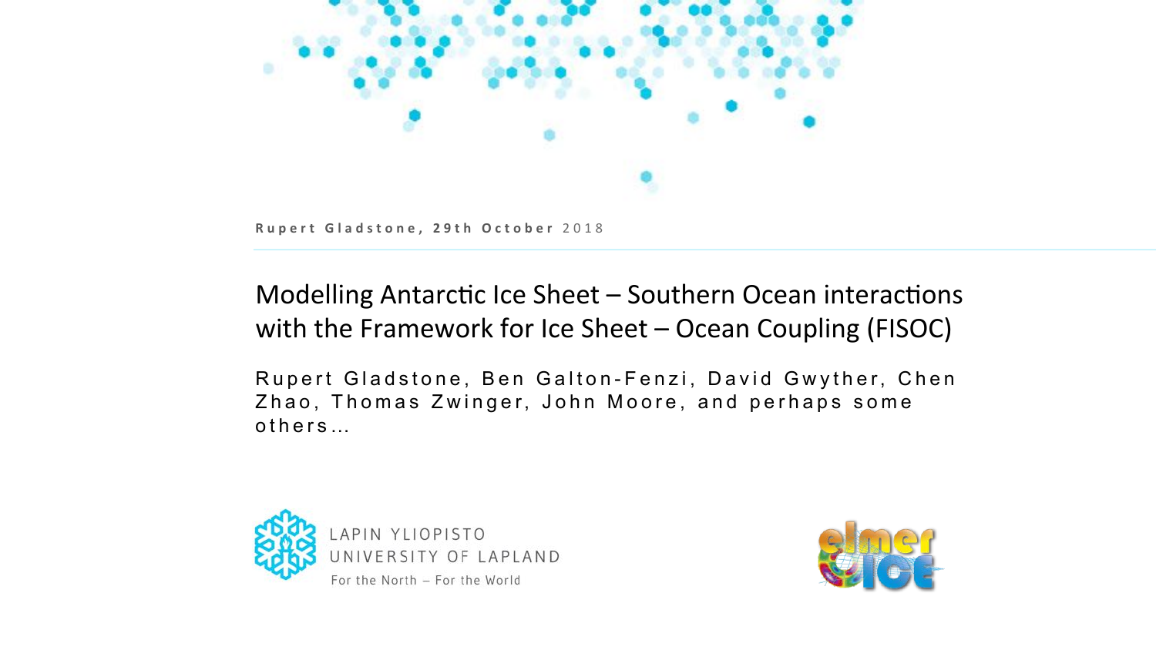

## Modelling Antarctic Ice Sheet - Southern Ocean interactions with the Framework for Ice Sheet – Ocean Coupling (FISOC)

Rupert Gladstone, Ben Galton-Fenzi, David Gwyther, Chen Zhao, Thomas Zwinger, John Moore, and perhaps some others …



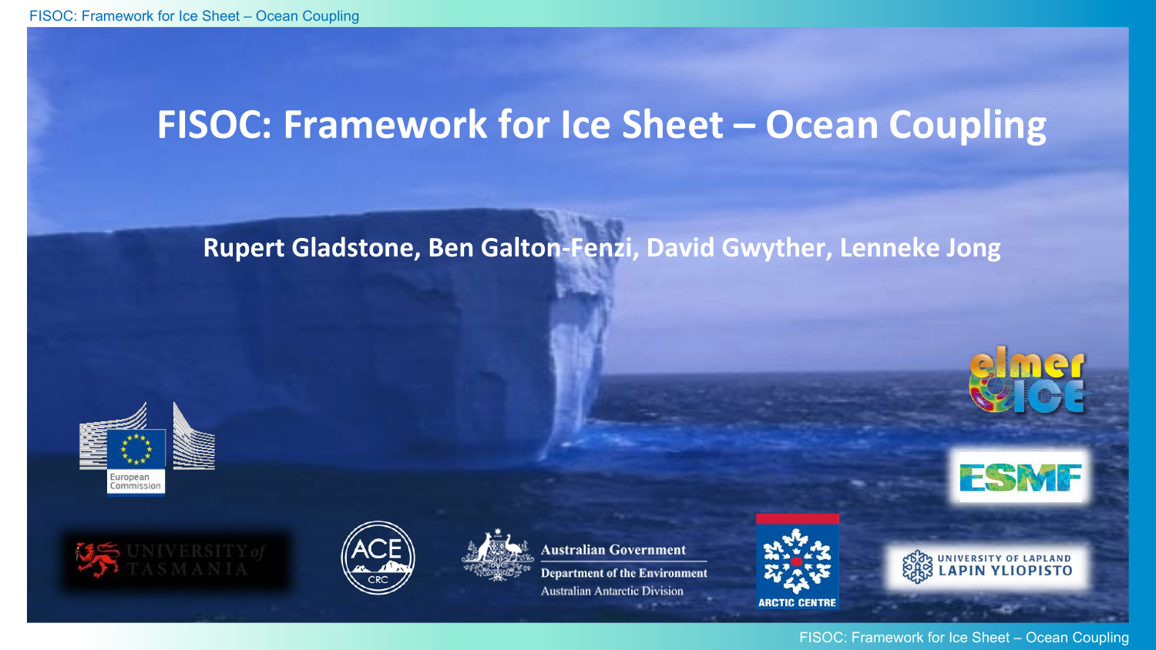# **FISOC: Framework for Ice Sheet - Ocean Coupling**

## **Rupert Gladstone, Ben Galton-Fenzi, David Gwyther, Lenneke Jong**









**Australian Government** 

**Department of the Environment Australian Antarctic Division** 



**ARCTIC CENTRE** 







CON UNIVERSITY OF LAPLAND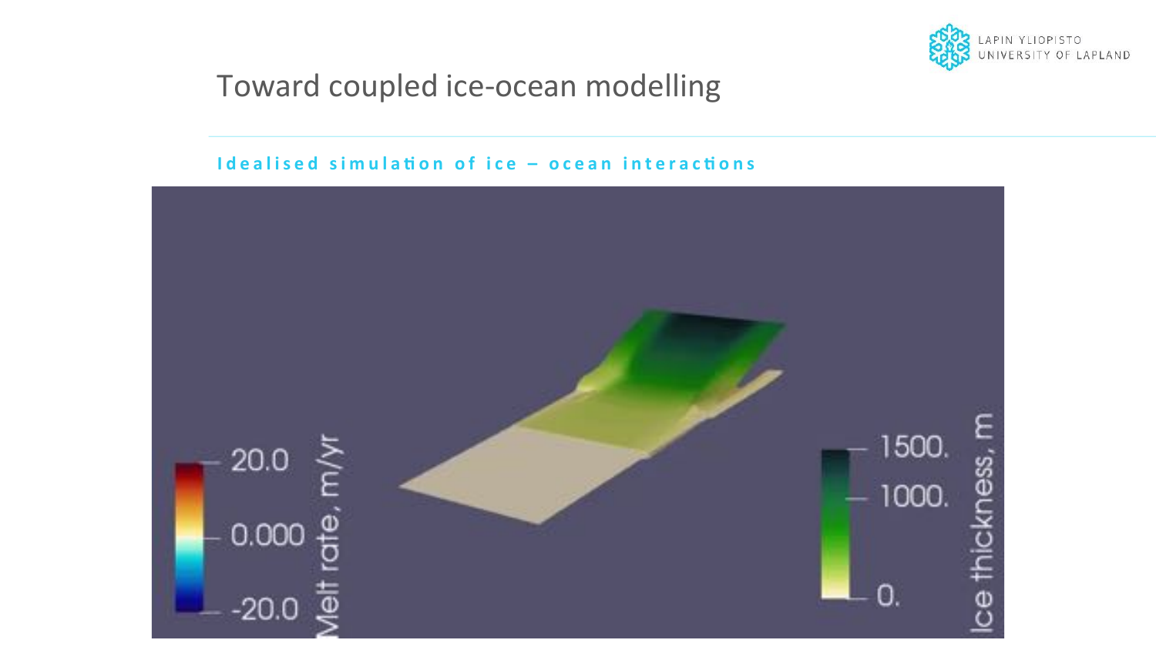

## Toward coupled ice-ocean modelling

#### Idealised simulation of ice - ocean interactions

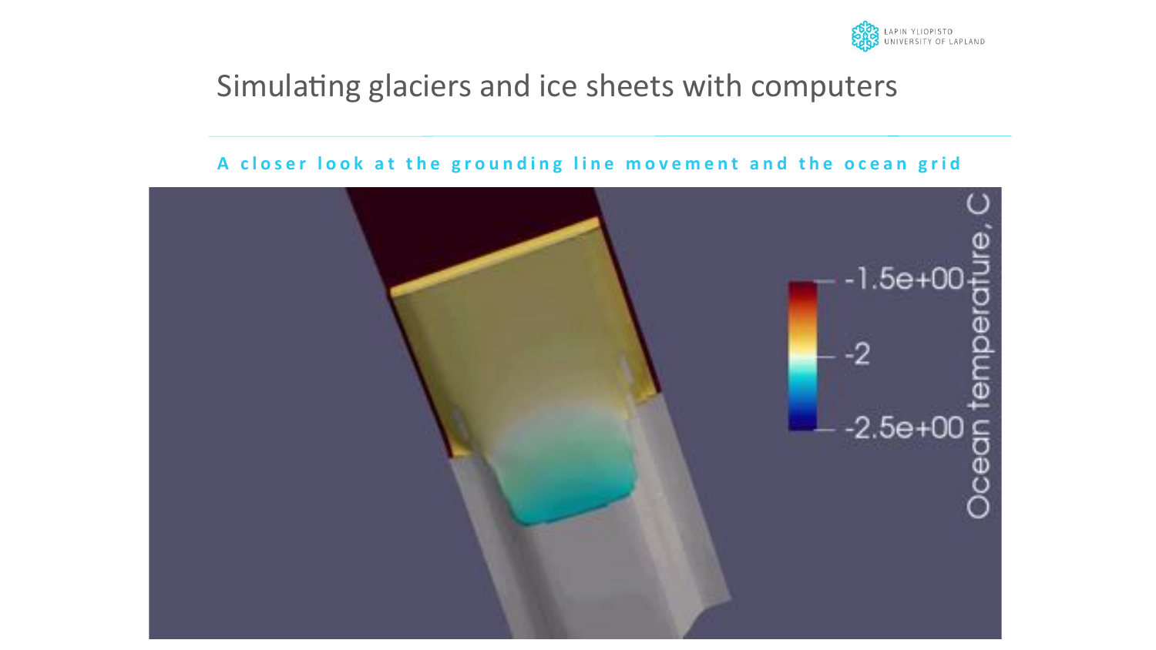

## Simulating glaciers and ice sheets with computers

#### A closer look at the grounding line movement and the ocean grid

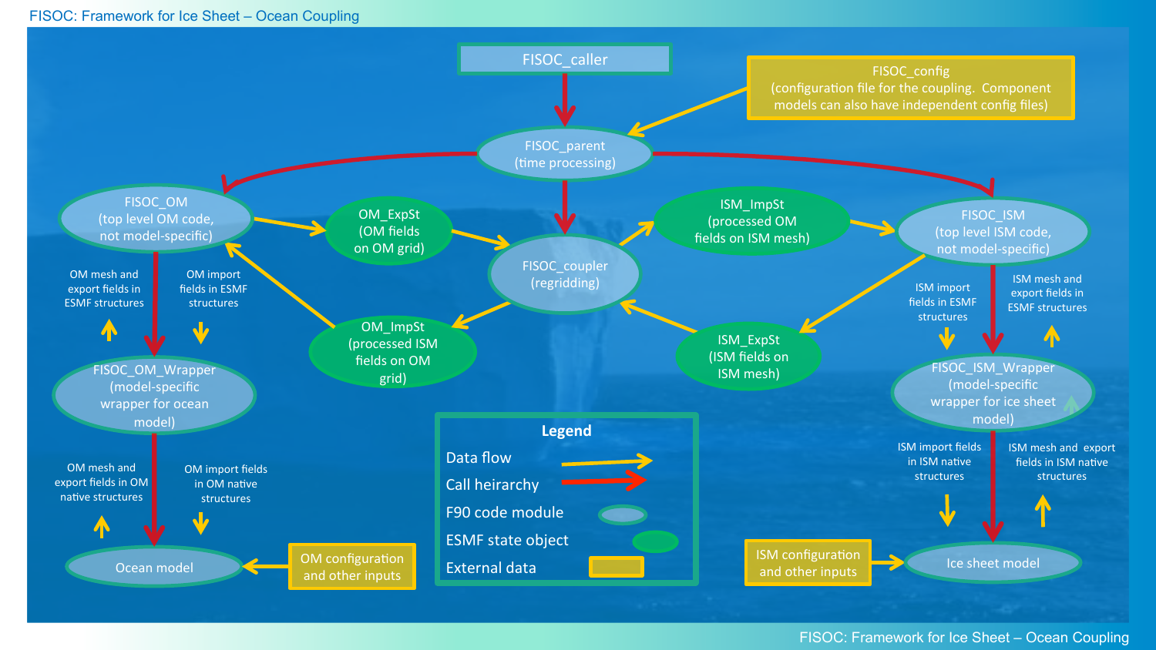#### FISOC: Framework for Ice Sheet – Ocean Coupling



#### FISOC: Framework for Ice Sheet – Ocean Coupling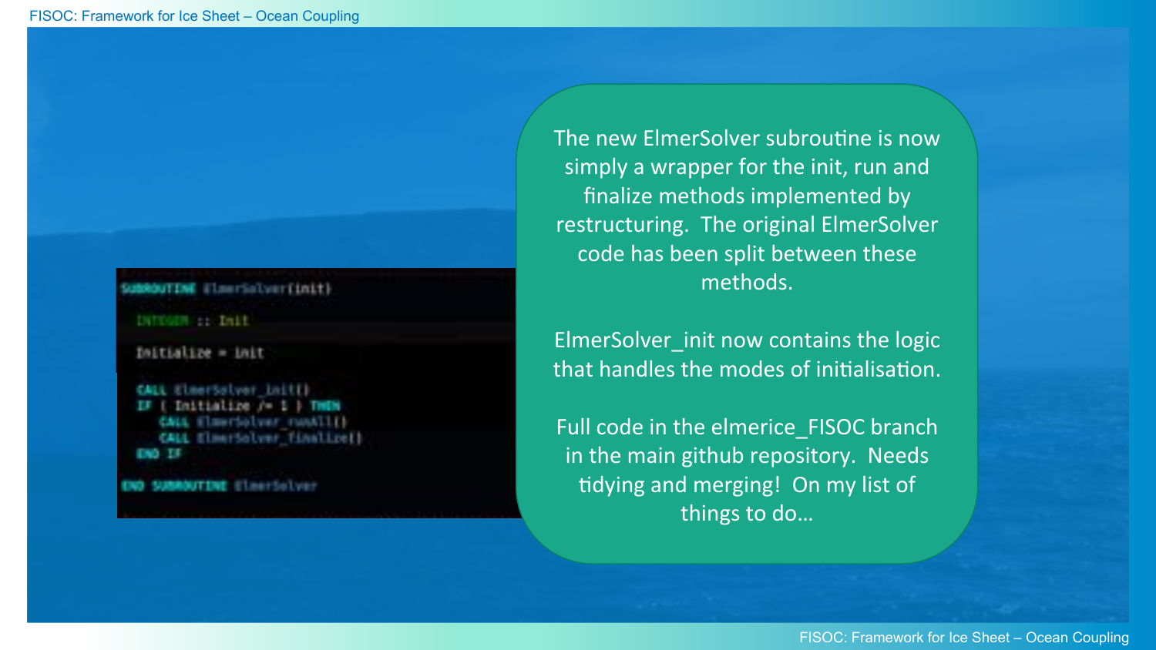## SubMouTINE ElmerSolverEinit)

```
DITOUR : : DALL
```

```
Initialize = init
```

```
CALL ElmerSolver initEl
TT
     Initialize /= 1 | THEN
   CALL ElserSolver runAll!
   CALL ElmerSolver Finalize()
ENO. ET
```

```
SUBBOUTINE ElnerSelver
```
The new ElmerSolver subroutine is now simply a wrapper for the init, run and finalize methods implemented by restructuring. The original ElmerSolver code has been split between these methods. 

ElmerSolver\_init now contains the logic that handles the modes of initialisation.

Full code in the elmerice\_FISOC branch in the main github repository. Needs tidying and merging! On my list of things to do...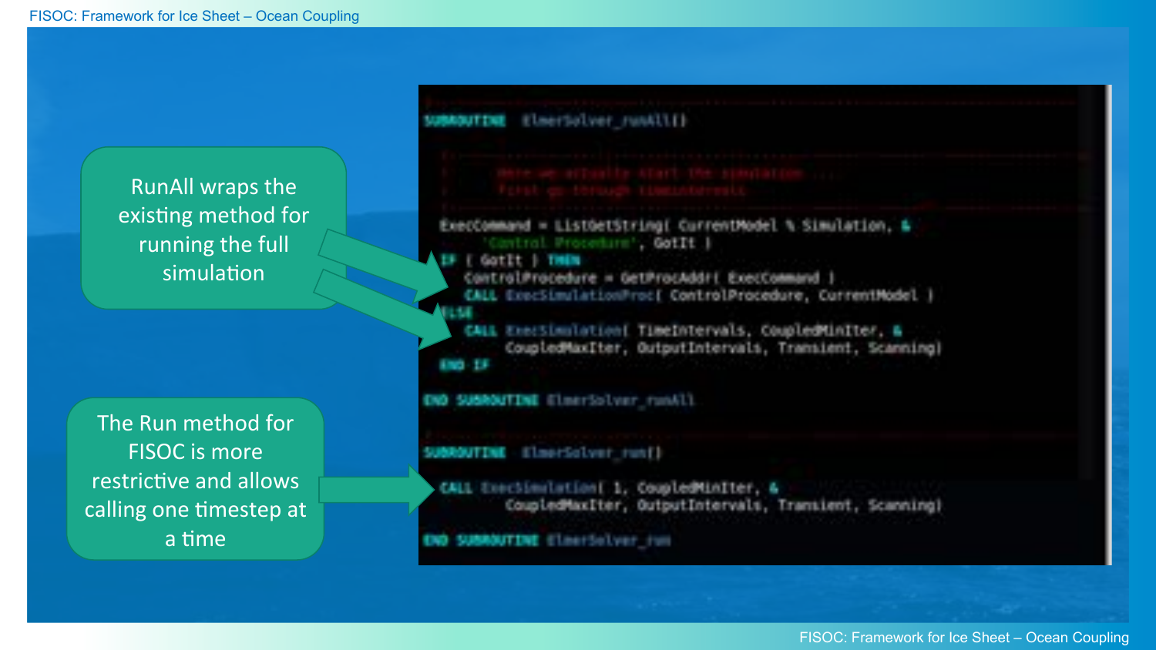**RunAll wraps the** existing method for running the full simulation

The Run method for **FISOC** is more restrictive and allows calling one timestep at a time

| <b>NUMBER ELBEVIOLE FUNCLES</b>                                                                                                                                                                                                 |                                                                                                                    |
|---------------------------------------------------------------------------------------------------------------------------------------------------------------------------------------------------------------------------------|--------------------------------------------------------------------------------------------------------------------|
|                                                                                                                                                                                                                                 |                                                                                                                    |
| ExecCommand = ListGetString[ CurrentMode] % Simulation, &<br>Control Procedure', GotIt  <br>Li Listit India<br>ControlProcedure = GetProcAddri ExecCommand  <br>CALL Exectimalation( TimeIntervals, CoupledMinIter, &<br>190.13 | CALL ExecSimulationProc( ControlProcedure, CurrentModel )<br>CoupledMaxIter, OutputIntervals, Transient, Scanning) |
| END SUBROUTINE ElmerSolver runAll                                                                                                                                                                                               |                                                                                                                    |
| SUBROUTINE ElmorSolver run()                                                                                                                                                                                                    |                                                                                                                    |
| CALL Exectimateriant 1, CoupledMiniter, &                                                                                                                                                                                       | CoupledMaxIter, OutputIntervals, Translent, Scanning)                                                              |
| <b>OVO SUBROUTINE ElectSolver fund</b>                                                                                                                                                                                          |                                                                                                                    |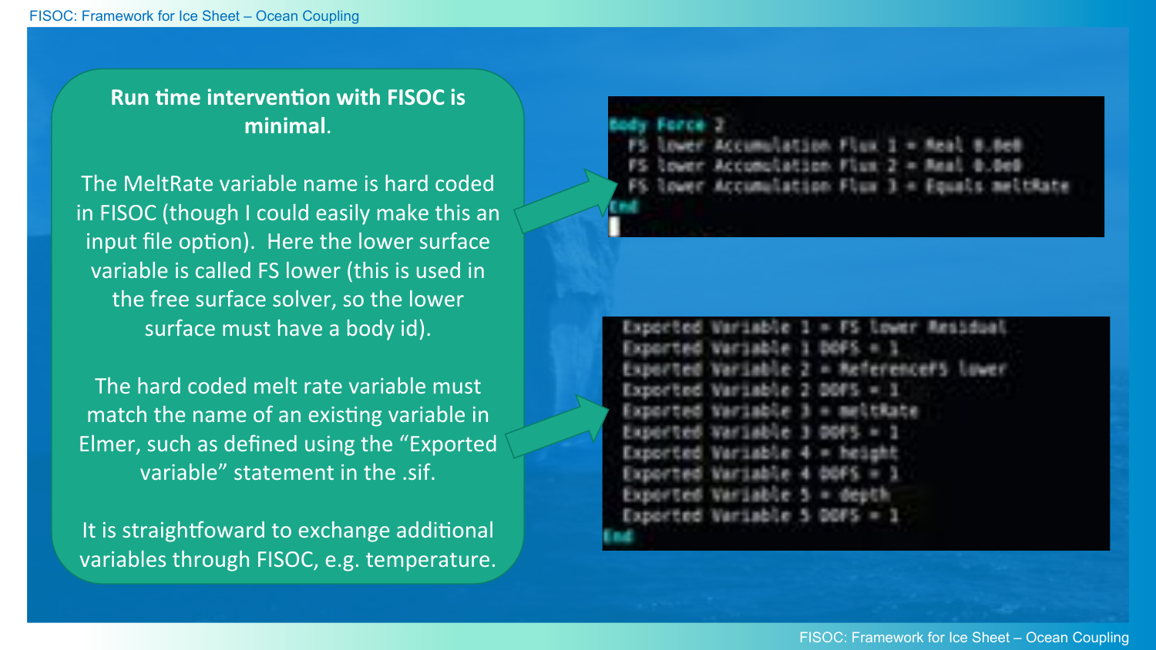## **Run time intervention with FISOC is minimal**.

The MeltRate variable name is hard coded in FISOC (though I could easily make this an input file option). Here the lower surface variable is called FS lower (this is used in the free surface solver, so the lower surface must have a body id).

The hard coded melt rate variable must match the name of an existing variable in Elmer, such as defined using the "Exported variable" statement in the sif.

It is straightfoward to exchange additional variables through FISOC, e.g. temperature.

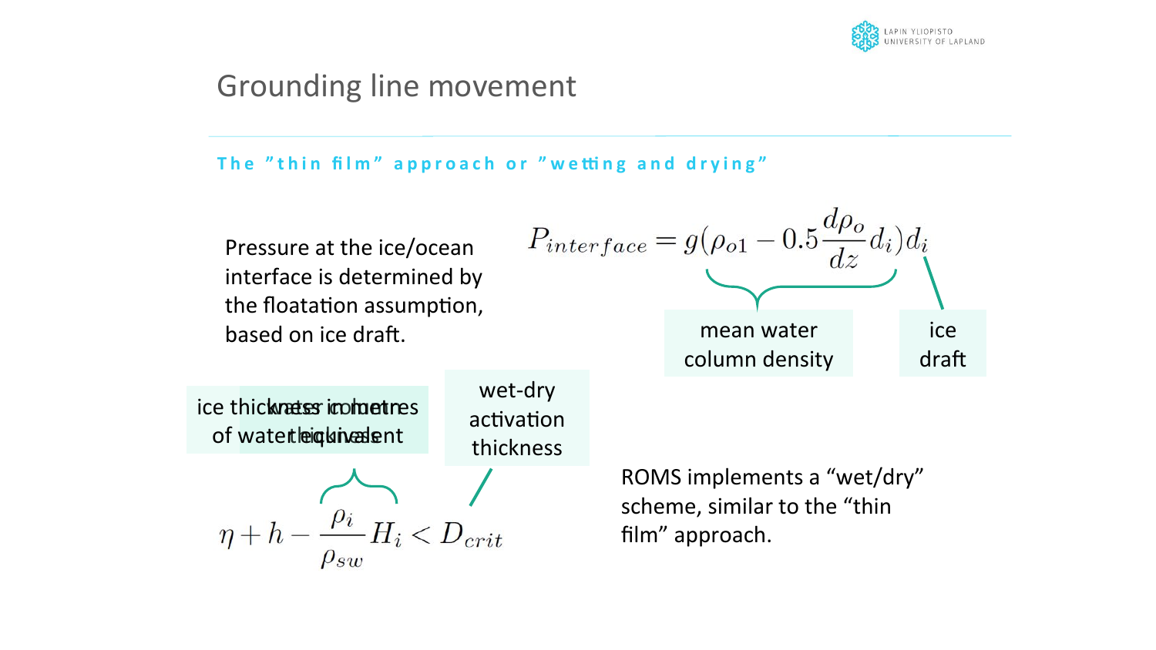

## Grounding line movement

#### The "thin film" approach or "wetting and drying"

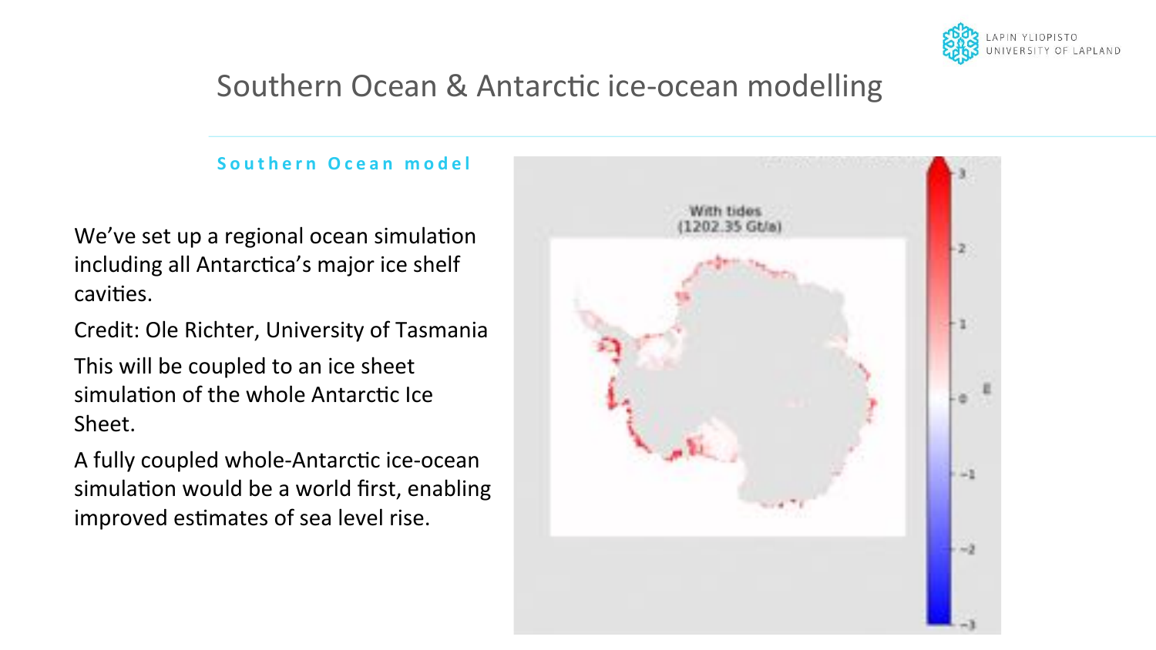

## Southern Ocean & Antarctic ice-ocean modelling

#### **Southern Ocean model**

We've set up a regional ocean simulation including all Antarctica's major ice shelf cavities.

Credit: Ole Richter, University of Tasmania

This will be coupled to an ice sheet simulation of the whole Antarctic Ice Sheet. 

A fully coupled whole-Antarctic ice-ocean simulation would be a world first, enabling improved estimates of sea level rise.

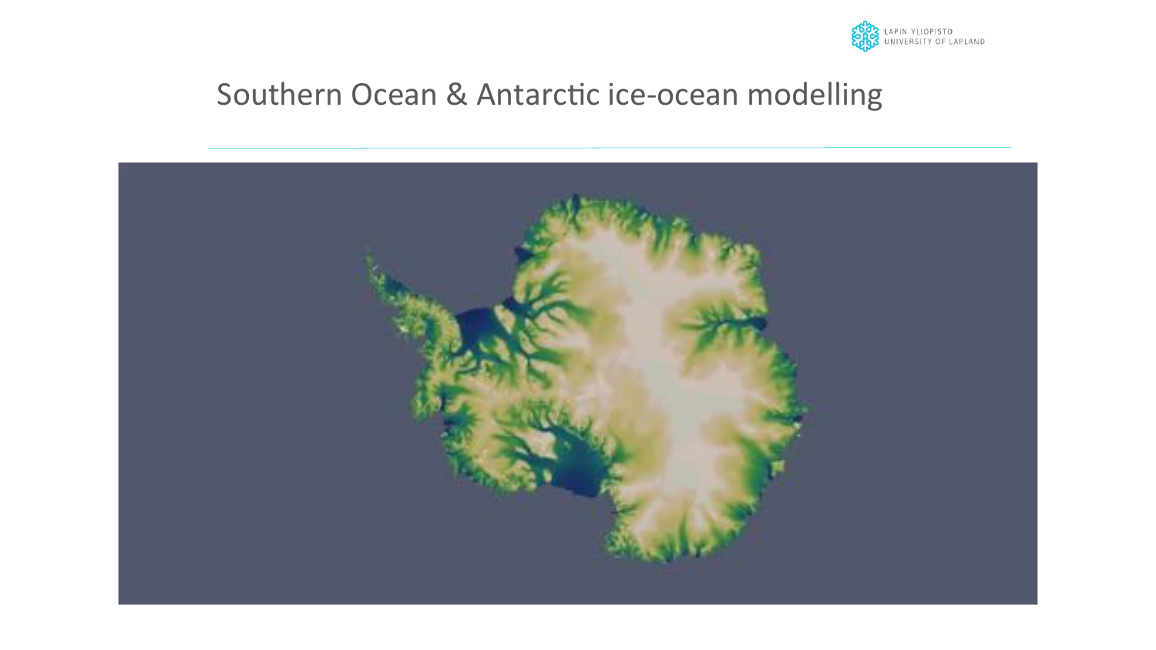

## Southern Ocean & Antarctic ice-ocean modelling

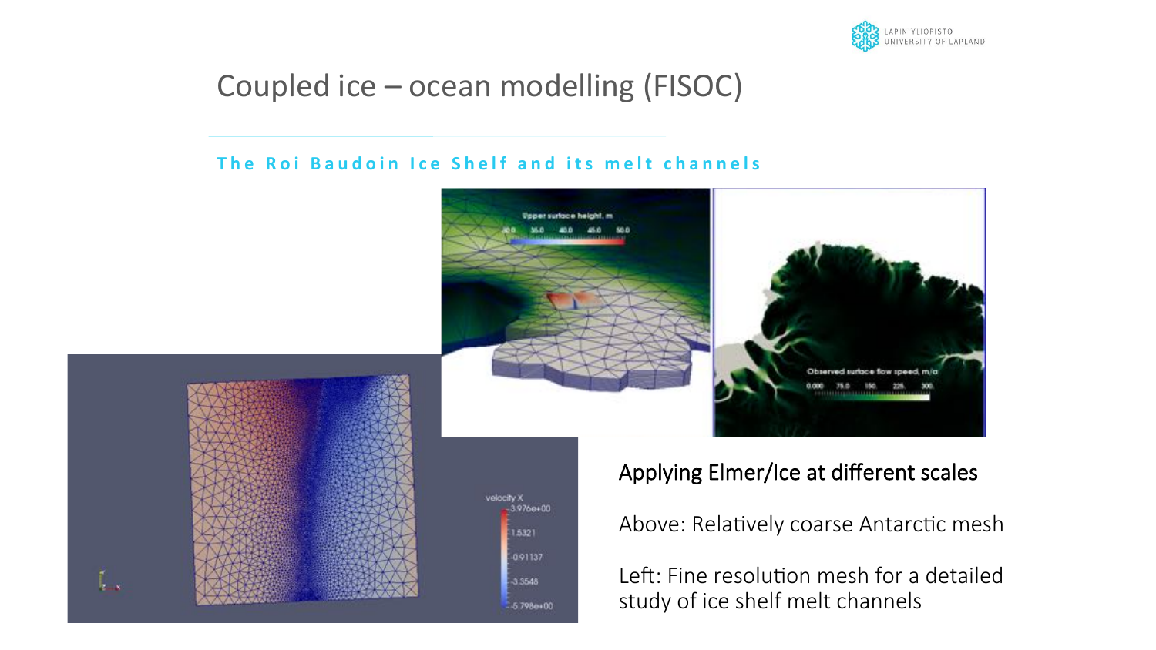

## Coupled  $ice$  – ocean modelling (FISOC)

#### **The Roi Baudoin Ice Shelf and its melt channels**

velocity X

 $3.976e + 00$ 

 $-15321$ 

 $-0.91137$ 

 $3.3548$ 

 $-5.798 + 00$ 





 $\int_{\mathbf{z} \to \mathbf{x}}^{\infty}$ 

## Applying Elmer/Ice at different scales

Above: Relatively coarse Antarctic mesh

Left: Fine resolution mesh for a detailed study of ice shelf melt channels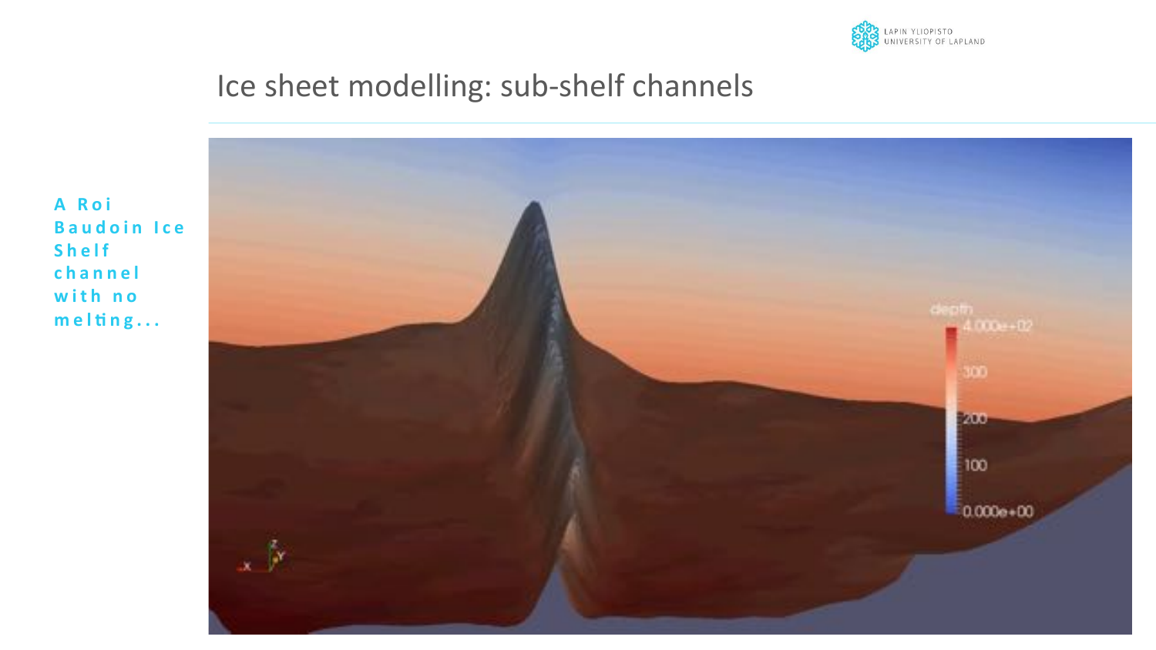

## Ice sheet modelling: sub-shelf channels

A Roi **Baudoin Ice Shelf** channel with no  $melting...$ 

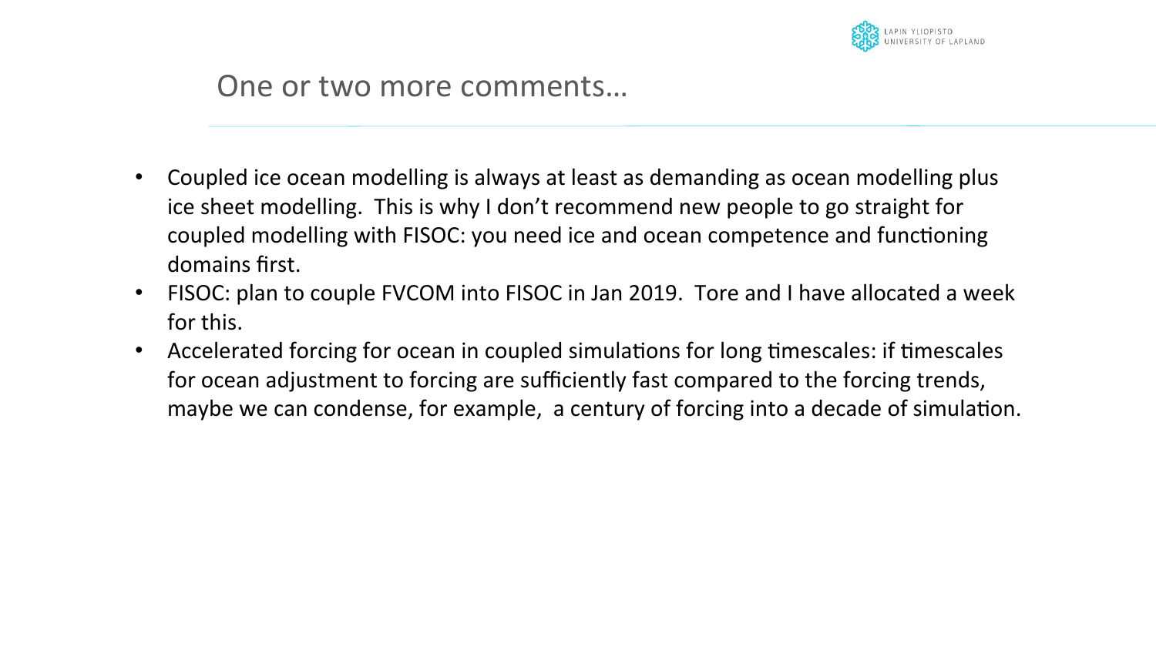

## One or two more comments...

- Coupled ice ocean modelling is always at least as demanding as ocean modelling plus ice sheet modelling. This is why I don't recommend new people to go straight for coupled modelling with FISOC: you need ice and ocean competence and functioning domains first.
- FISOC: plan to couple FVCOM into FISOC in Jan 2019. Tore and I have allocated a week for this.
- Accelerated forcing for ocean in coupled simulations for long timescales: if timescales for ocean adjustment to forcing are sufficiently fast compared to the forcing trends, maybe we can condense, for example, a century of forcing into a decade of simulation.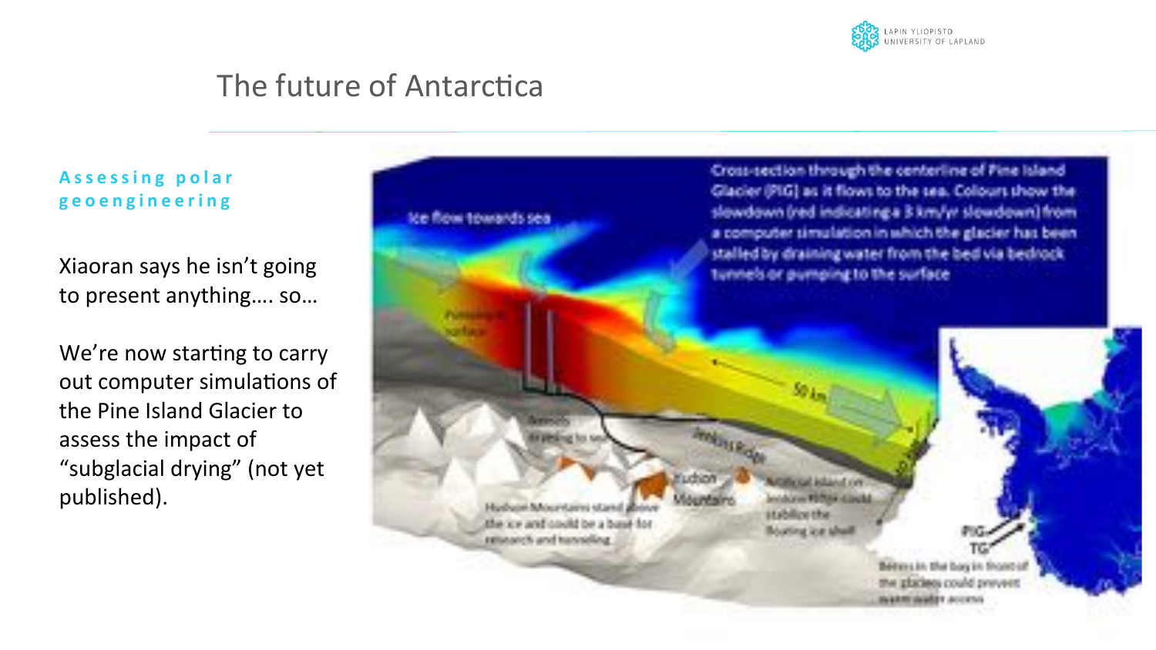

## The future of Antarctica

Assessing polar **geoengineering** 

Xiaoran says he isn't going to present anything.... so...

We're now starting to carry out computer simulations of the Pine Island Glacier to assess the impact of "subglacial drying" (not yet published). 

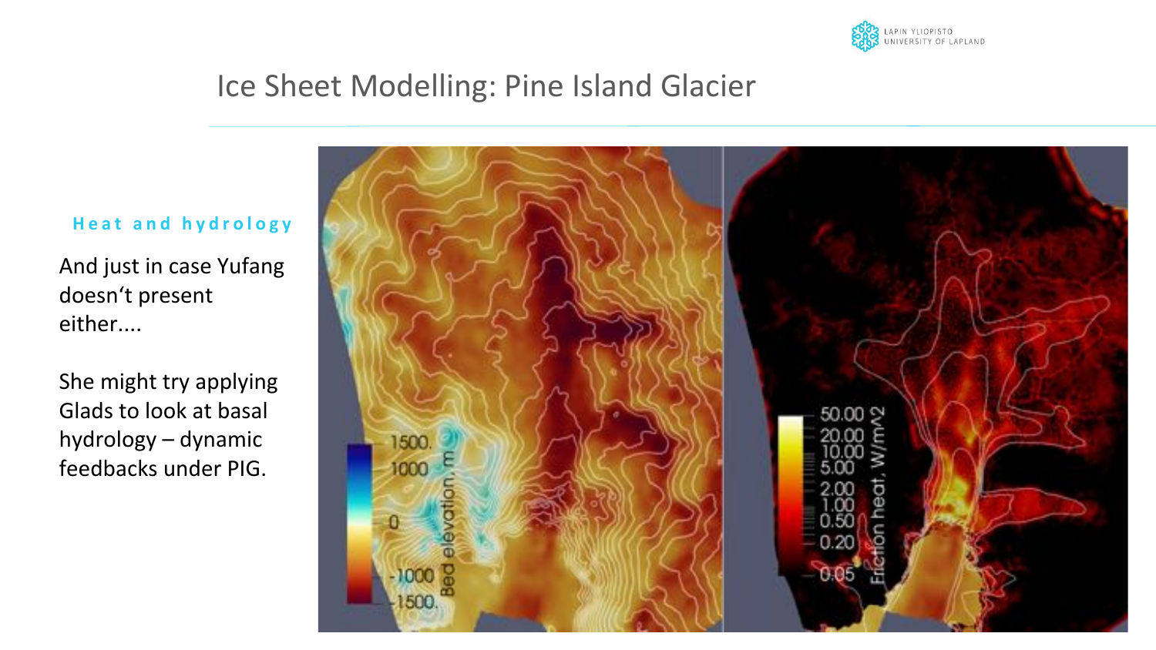

## Ice Sheet Modelling: Pine Island Glacier

#### **Heat and hydrology**

And just in case Yufang doesn't present either.... 

She might try applying Glads to look at basal hydrology - dynamic feedbacks under PIG.

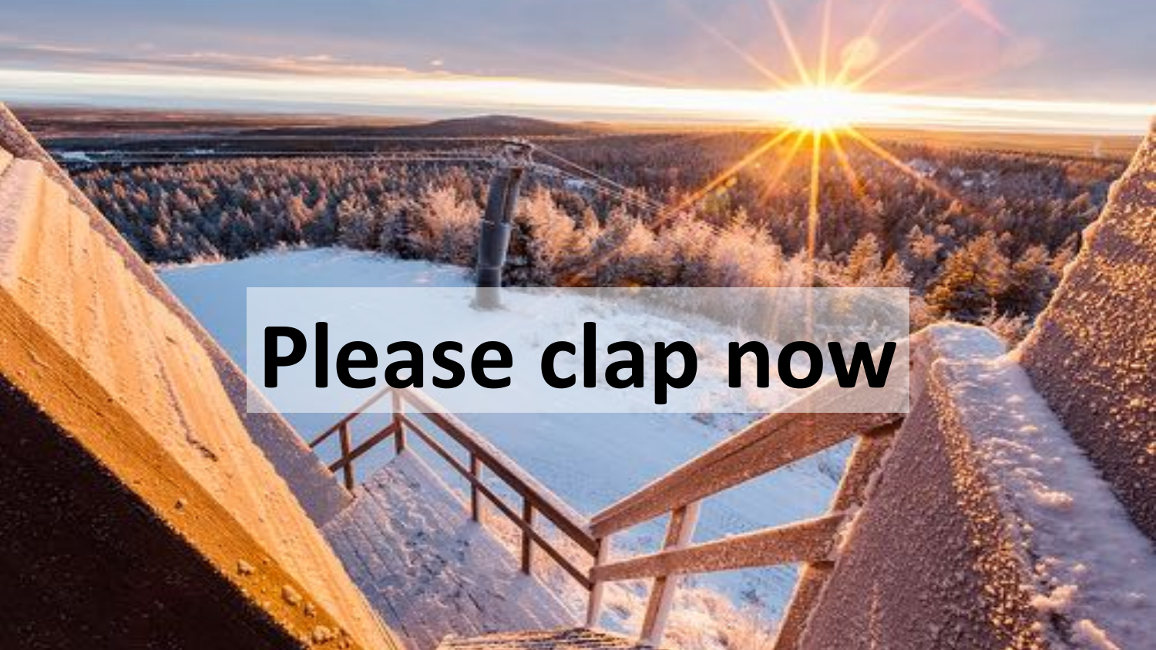# **Please clap now**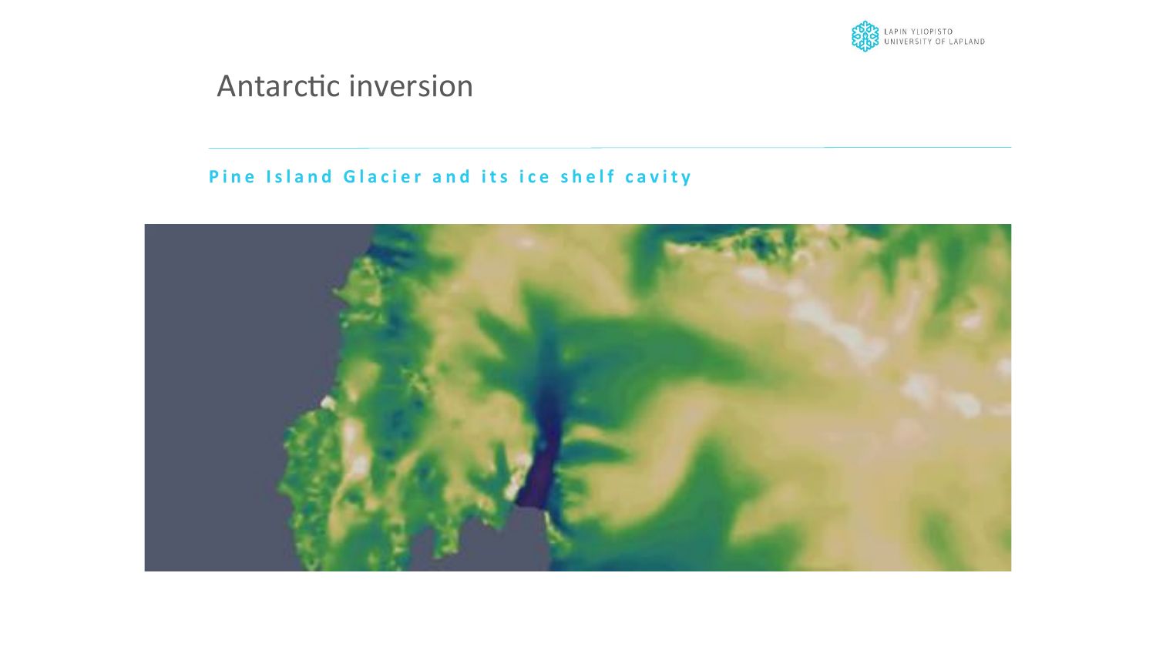

## Antarctic inversion

#### **Pine Island Glacier and its ice shelf cavity**

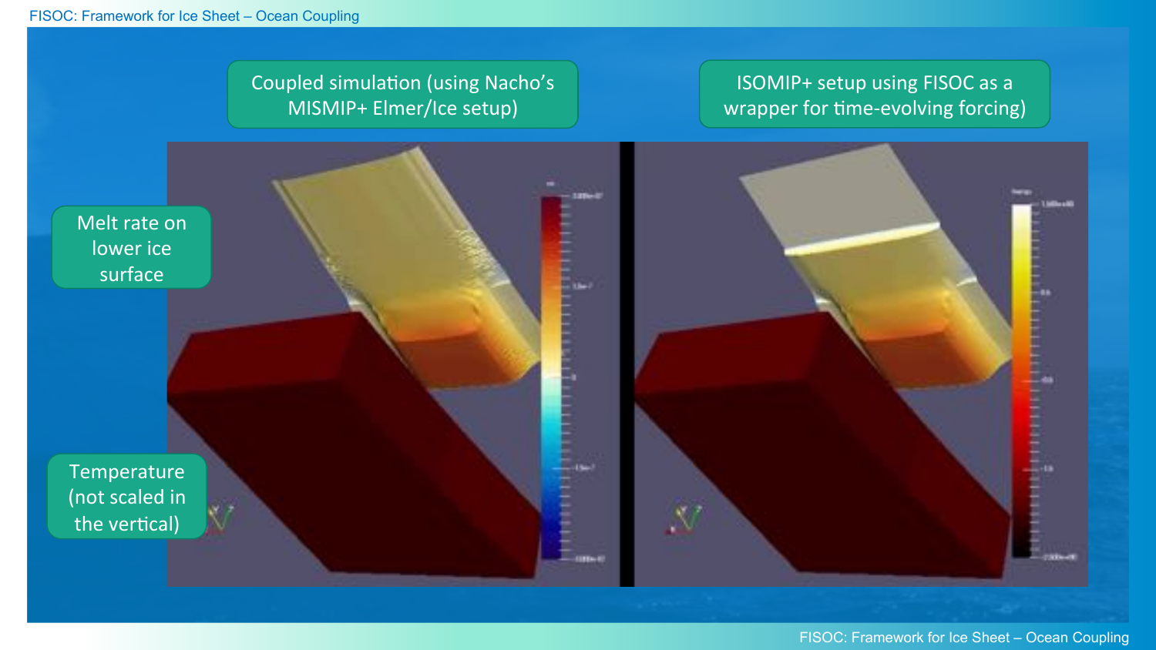### ISOMIP+ setup using FISOC as a wrapper for time-evolving forcing)

Coupled simulation (using Nacho's MISMIP+ Elmer/Ice setup)



Temperature (not scaled in the vertical)